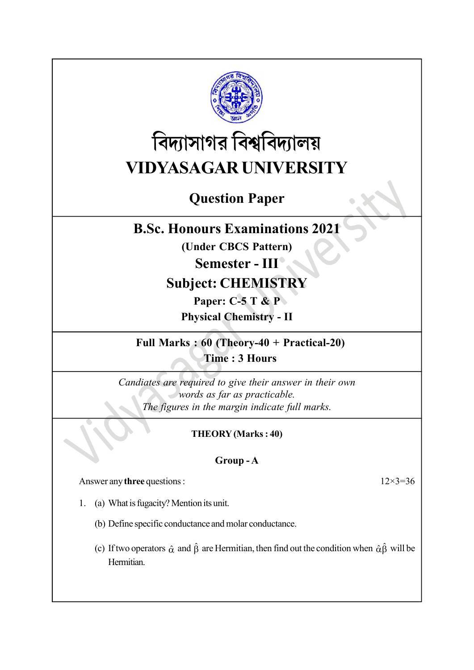

# বিদ্যাসাগর বিশ্ববিদ্যালয় VIDYASAGAR UNIVERSITY

# Question Paper

## B.Sc. Honours Examinations 2021

(Under CBCS Pattern)

# Semester - III

# Subject: CHEMISTRY

Paper: C-5 T & P

Physical Chemistry - II

Full Marks : 60 (Theory-40 + Practical-20) Time : 3 Hours

Candiates are required to give their answer in their own words as far as practicable. The figures in the margin indicate full marks.

#### THEORY (Marks : 40)

#### Group - A

Answer any three questions : 12×3=36

- 1. (a) What is fugacity? Mention its unit.
	- (b) Define specific conductance and molar conductance.
	- (c) If two operators  $\hat{\alpha}$  and  $\hat{\beta}$  are Hermitian, then find out the condition when  $\hat{\alpha}\hat{\beta}$  will be Hermitian.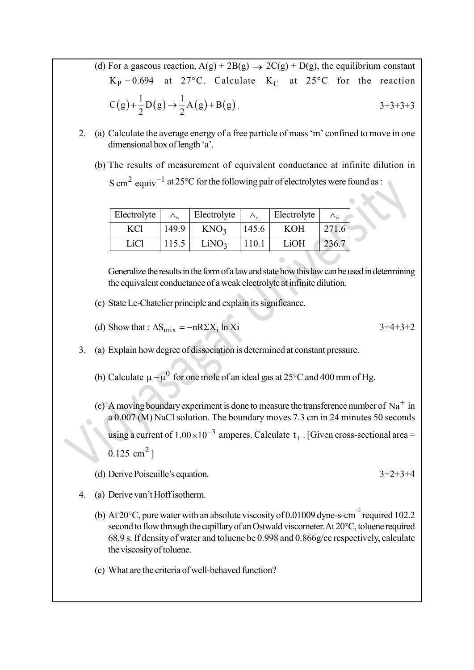- (d) For a gaseous reaction,  $A(g) + 2B(g) \rightarrow 2C(g) + D(g)$ , the equilibrium constant  $K_p = 0.694$  at 27°C. Calculate  $K_c$  at 25°C for the reaction For a gaseous reaction,  $A(g) + 2B(g) \rightarrow 2C(g) + D(g)$ , the equilibrium constant<br>  $K_P = 0.694$  at 27°C. Calculate  $K_C$  at 25°C for the reaction<br>  $C(g) + \frac{1}{2}D(g) \rightarrow \frac{1}{2}A(g) + B(g)$ . 3+3+3+3<br>
Calculate the average energy of a free par  $+\frac{1}{2}D(g) \rightarrow \frac{1}{2}A(g) + B(g)$ . 3+3+3+3
- 2. (a) Calculate the average energy of a free particle of mass 'm' confined to move in one dimensional box of length 'a'.
	- (b) The results of measurement of equivalent conductance at infinite dilution in  $\text{S cm}^2$  equiv<sup>-1</sup> at 25°C for the following pair of electrolytes were found as :

| Electrolyte |       | Electrolyte       |       | Electrolyte |       |  |
|-------------|-------|-------------------|-------|-------------|-------|--|
| KC1         | 149.9 | KNO <sub>3</sub>  | 145.6 | <b>KOH</b>  | 271.6 |  |
| LiCl        | 115.5 | LiNO <sub>3</sub> | 110.  | LiOH        |       |  |

Generalize the results in the form of a law and state how this law can be used in determining the equivalent conductance of a weak electrolyte at infinite dilution.

- (c) State Le-Chatelier principle and explain its significance.
- (d) Show that :  $\Delta S_{mix} = -nR\Sigma X_i \ln X_i$  <br>  $3+4+3+2$
- 3. (a) Explain how degree of dissociation is determined at constant pressure.
	- (b) Calculate  $\mu \mu^0$  for one mole of an ideal gas at 25°C and 400 mm of Hg.
	- (c) A moving boundary experiment is done to measure the transference number of  $\mathrm{Na}^+$  in a 0.007 (M) NaCl solution. The boundary moves 7.3 cm in 24 minutes 50 seconds using a current of  $1.00 \times 10^{-3}$  amperes. Calculate  $t_{+}$ . [Given cross-sectional area =
		- $0.125$  cm<sup>2</sup>]
	- (d) Derive Poiseuille's equation. 3+2+3+4
- 4. (a) Derive van't Hoff isotherm.
	- (b) At 20 $^{\circ}$ C, pure water with an absolute viscosity of 0.01009 dyne-s-cm<sup>-2</sup> required 102.2 second to flow through the capillary of an Ostwald viscometer. At 20°C, toluene required 68.9 s. If density of water and toluene be 0.998 and 0.866g/cc respectively, calculate the viscosity of toluene.
	- (c) What are the criteria of well-behaved function?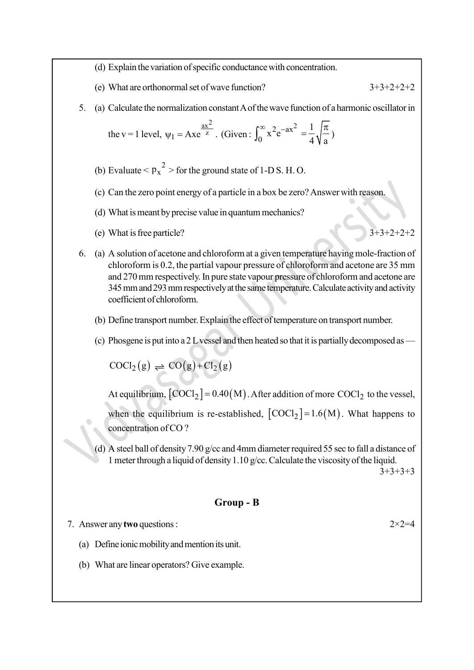(d) Explain the variation of specific conductance with concentration.

(e) What are orthonormal set of wave function?  $3+3+2+2+2$ 

5. (a) Calculate the normalization constant A of the wave function of a harmonic oscillator in

the v = 1 level, 
$$
\psi_1 =
$$
Axe <sup>$\frac{ax^2}{z}$</sup> . (Given:  $\int_0^\infty x^2 e^{-ax^2} = \frac{1}{4} \sqrt{\frac{\pi}{a}}$ )

- (b) Evaluate  $< p_x^2 >$  for the ground state of 1-D S. H. O.
- (c) Can the zero point energy of a particle in a box be zero? Answer with reason.
- (d) What is meant by precise value in quantum mechanics?
- (e) What is free particle?  $3+3+2+2+2$

- 6. (a) A solution of acetone and chloroform at a given temperature having mole-fraction of chloroform is 0.2, the partial vapour pressure of chloroform and acetone are 35 mm and 270 mm respectively. In pure state vapour pressure of chloroform and acetone are 345 mm and 293 mm respectively at the same temperature. Calculate activity and activity coefficient of chloroform.
	- (b) Define transport number. Explain the effect of temperature on transport number.
	- (c) Phosgene is put into a 2 L vessel and then heated so that it is partially decomposed as —

 $COCl<sub>2</sub>(g) \rightleftharpoons CO(g)+Cl<sub>2</sub>(g)$ 

At equilibrium,  $[COCl<sub>2</sub>] = 0.40(M)$ . After addition of more  $COCl<sub>2</sub>$  to the vessel,

when the equilibrium is re-established,  $[COCl<sub>2</sub>] = 1.6(M)$ . What happens to concentration of CO ?

(d) A steel ball of density 7.90 g/cc and 4mm diameter required 55 sec to fall a distance of 1 meter through a liquid of density 1.10 g/cc. Calculate the viscosity of the liquid.  $3+3+3+3$ 

#### Group - B

7. Answer any two questions :  $2 \times 2 = 4$ 

- (a) Define ionic mobility and mention its unit.
- (b) What are linear operators? Give example.